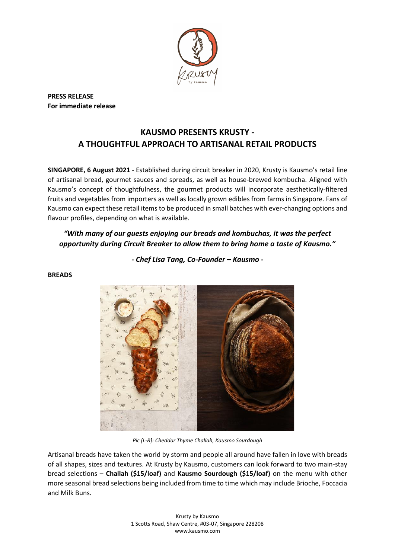

**PRESS RELEASE For immediate release**

**BREADS**

# **KAUSMO PRESENTS KRUSTY - A THOUGHTFUL APPROACH TO ARTISANAL RETAIL PRODUCTS**

**SINGAPORE, 6 August 2021** - Established during circuit breaker in 2020, Krusty is Kausmo's retail line of artisanal bread, gourmet sauces and spreads, as well as house-brewed kombucha. Aligned with Kausmo's concept of thoughtfulness, the gourmet products will incorporate aesthetically-filtered fruits and vegetables from importers as well as locally grown edibles from farms in Singapore. Fans of Kausmo can expect these retail items to be produced in small batches with ever-changing options and flavour profiles, depending on what is available.

# *"With many of our guests enjoying our breads and kombuchas, it was the perfect opportunity during Circuit Breaker to allow them to bring home a taste of Kausmo."*

*- Chef Lisa Tang, Co-Founder – Kausmo -*



*Pic [L-R]: Cheddar Thyme Challah, Kausmo Sourdough*

Artisanal breads have taken the world by storm and people all around have fallen in love with breads of all shapes, sizes and textures. At Krusty by Kausmo, customers can look forward to two main-stay bread selections – **Challah (\$15/loaf)** and **Kausmo Sourdough (\$15/loaf)** on the menu with other more seasonal bread selections being included from time to time which may include Brioche, Foccacia and Milk Buns.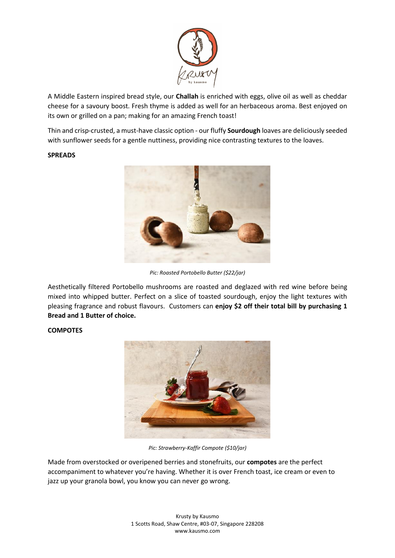

A Middle Eastern inspired bread style, our **Challah** is enriched with eggs, olive oil as well as cheddar cheese for a savoury boost. Fresh thyme is added as well for an herbaceous aroma. Best enjoyed on its own or grilled on a pan; making for an amazing French toast!

Thin and crisp-crusted, a must-have classic option - our fluffy **Sourdough** loaves are deliciously seeded with sunflower seeds for a gentle nuttiness, providing nice contrasting textures to the loaves.

#### **SPREADS**



*Pic: Roasted Portobello Butter (\$22/jar)*

Aesthetically filtered Portobello mushrooms are roasted and deglazed with red wine before being mixed into whipped butter. Perfect on a slice of toasted sourdough, enjoy the light textures with pleasing fragrance and robust flavours. Customers can **enjoy \$2 off their total bill by purchasing 1 Bread and 1 Butter of choice.**

#### **COMPOTES**



*Pic: Strawberry-Kaffir Compote (\$10/jar)*

Made from overstocked or overipened berries and stonefruits, our **compotes** are the perfect accompaniment to whatever you're having. Whether it is over French toast, ice cream or even to jazz up your granola bowl, you know you can never go wrong.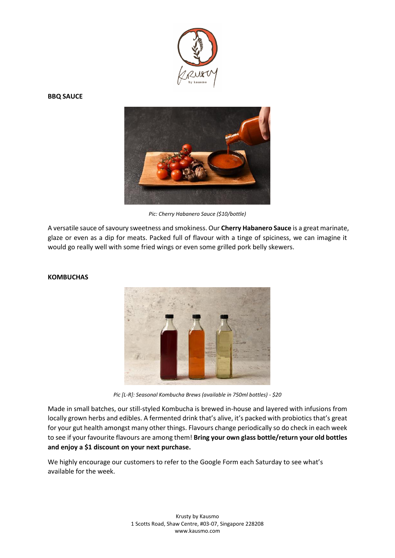

#### **BBQ SAUCE**



*Pic: Cherry Habanero Sauce (\$10/bottle)*

A versatile sauce of savoury sweetness and smokiness. Our **Cherry Habanero Sauce** is a great marinate, glaze or even as a dip for meats. Packed full of flavour with a tinge of spiciness, we can imagine it would go really well with some fried wings or even some grilled pork belly skewers.



#### **KOMBUCHAS**

*Pic [L-R]: Seasonal Kombucha Brews (available in 750ml bottles) - \$20*

Made in small batches, our still-styled Kombucha is brewed in-house and layered with infusions from locally grown herbs and edibles. A fermented drink that's alive, it's packed with probiotics that's great for your gut health amongst many other things. Flavours change periodically so do check in each week to see if your favourite flavours are among them! **Bring your own glass bottle/return your old bottles and enjoy a \$1 discount on your next purchase.**

We highly encourage our customers to refer to the Google Form each Saturday to see what's available for the week.